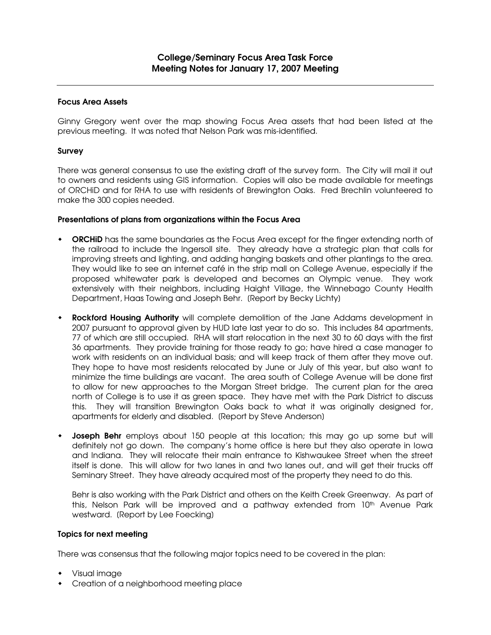# Focus Area Assets

Ginny Gregory went over the map showing Focus Area assets that had been listed at the previous meeting. It was noted that Nelson Park was mis-identified.

### Survey

There was general consensus to use the existing draft of the survey form. The City will mail it out to owners and residents using GIS information. Copies will also be made available for meetings of ORCHiD and for RHA to use with residents of Brewington Oaks. Fred Brechlin volunteered to make the 300 copies needed.

### Presentations of plans from organizations within the Focus Area

- ORCHID has the same boundaries as the Focus Area except for the finger extending north of the railroad to include the Ingersoll site. They already have a strategic plan that calls for improving streets and lighting, and adding hanging baskets and other plantings to the area. They would like to see an internet café in the strip mall on College Avenue, especially if the proposed whitewater park is developed and becomes an Olympic venue. They work extensively with their neighbors, including Haight Village, the Winnebago County Health Department, Haas Towing and Joseph Behr. [Report by Becky Lichty]
- **Rockford Housing Authority** will complete demolition of the Jane Addams development in 2007 pursuant to approval given by HUD late last year to do so. This includes 84 apartments, 77 of which are still occupied. RHA will start relocation in the next 30 to 60 days with the first 36 apartments. They provide training for those ready to go; have hired a case manager to work with residents on an individual basis; and will keep track of them after they move out. They hope to have most residents relocated by June or July of this year, but also want to minimize the time buildings are vacant. The area south of College Avenue will be done first to allow for new approaches to the Morgan Street bridge. The current plan for the area north of College is to use it as green space. They have met with the Park District to discuss this. They will transition Brewington Oaks back to what it was originally designed for, apartments for elderly and disabled. [Report by Steve Anderson]
- Joseph Behr employs about 150 people at this location; this may go up some but will definitely not go down. The company's home office is here but they also operate in Iowa and Indiana. They will relocate their main entrance to Kishwaukee Street when the street itself is done. This will allow for two lanes in and two lanes out, and will get their trucks off Seminary Street. They have already acquired most of the property they need to do this.

Behr is also working with the Park District and others on the Keith Creek Greenway. As part of this, Nelson Park will be improved and a pathway extended from 10<sup>th</sup> Avenue Park westward. (Report by Lee Foecking)

#### Topics for next meeting

There was consensus that the following major topics need to be covered in the plan:

- Visual image
- Creation of a neighborhood meeting place